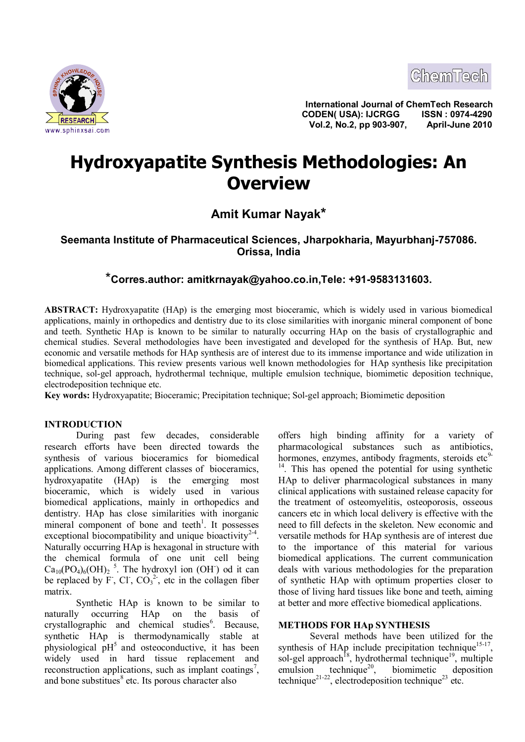



**International Journal of ChemTech Research CODEN( USA): IJCRGG ISSN : 0974-4290 <u>ESEARCH Strategy</u> CODENT COATED MONTHLY NOT APPENDIX AND THE SEARCH SUPPORT ON A SERVICE OF A SERVICE OF A SERVICE OF A SERVICE OF A SERVICE OF A SERVICE OF A SERVICE OF A SERVICE OF A SERVICE OF A SERVICE OF A SERVICE O** 

# **Hydroxyapatite Synthesis Methodologies: An Overview**

**Amit Kumar Nayak\***

# **Seemanta Institute of Pharmaceutical Sciences, Jharpokharia, Mayurbhanj-757086. Orissa, India**

# \***Corres.author: amitkrnayak@yahoo.co.in,Tele: +91-9583131603.**

**ABSTRACT:** Hydroxyapatite (HAp) is the emerging most bioceramic, which is widely used in various biomedical applications, mainly in orthopedics and dentistry due to its close similarities with inorganic mineral component of bone and teeth. Synthetic HAp is known to be similar to naturally occurring HAp on the basis of crystallographic and chemical studies. Several methodologies have been investigated and developed for the synthesis of HAp. But, new economic and versatile methods for HAp synthesis are of interest due to its immense importance and wide utilization in biomedical applications. This review presents various well known methodologies for HAp synthesis like precipitation technique, sol-gel approach, hydrothermal technique, multiple emulsion technique, biomimetic deposition technique, electrodeposition technique etc.

**Key words:** Hydroxyapatite; Bioceramic; Precipitation technique; Sol-gel approach; Biomimetic deposition

# **INTRODUCTION**

During past few decades, considerable research efforts have been directed towards the synthesis of various bioceramics for biomedical applications. Among different classes of bioceramics, hydroxyapatite (HAp) is the emerging most bioceramic, which is widely used in various biomedical applications, mainly in orthopedics and dentistry. HAp has close similarities with inorganic mineral component of bone and teeth<sup>1</sup>. It possesses exceptional biocompatibility and unique bioactivity<sup>2-4</sup>. Naturally occurring HAp is hexagonal in structure with the chemical formula of one unit cell being  $Ca_{10}(PO_4)_6(OH)_2$ <sup>5</sup>. The hydroxyl ion (OH<sup>-</sup>) od it can be replaced by F, Cl,  $CO<sub>3</sub><sup>2</sup>$ , etc in the collagen fiber matrix.

Synthetic HAp is known to be similar to naturally occurring HAp on the basis of crystallographic and chemical studies<sup>6</sup>. Because, synthetic HAp is thermodynamically stable at physiological  $pH<sup>5</sup>$  and osteoconductive, it has been widely used in hard tissue replacement and reconstruction applications, such as implant coatings<sup>7</sup>, and bone substitues $8$  etc. Its porous character also

offers high binding affinity for a variety of pharmacological substances such as antibiotics, hormones, enzymes, antibody fragments, steroids  $\text{etc}^9$ - $14$ . This has opened the potential for using synthetic HAp to deliver pharmacological substances in many clinical applications with sustained release capacity for the treatment of osteomyelitis, osteoporosis, osseous cancers etc in which local delivery is effective with the need to fill defects in the skeleton. New economic and versatile methods for HAp synthesis are of interest due to the importance of this material for various biomedical applications. The current communication deals with various methodologies for the preparation of synthetic HAp with optimum properties closer to those of living hard tissues like bone and teeth, aiming at better and more effective biomedical applications.

#### **METHODS FOR HAp SYNTHESIS**

Several methods have been utilized for the synthesis of HAp include precipitation technique<sup>15-17</sup>, sol-gel approach<sup>18</sup>, hydrothermal technique<sup>19</sup>, multiple emulsion technique<sup>20</sup>, biomimetic deposition technique<sup>21-22</sup>, electrodeposition technique<sup>23</sup> etc.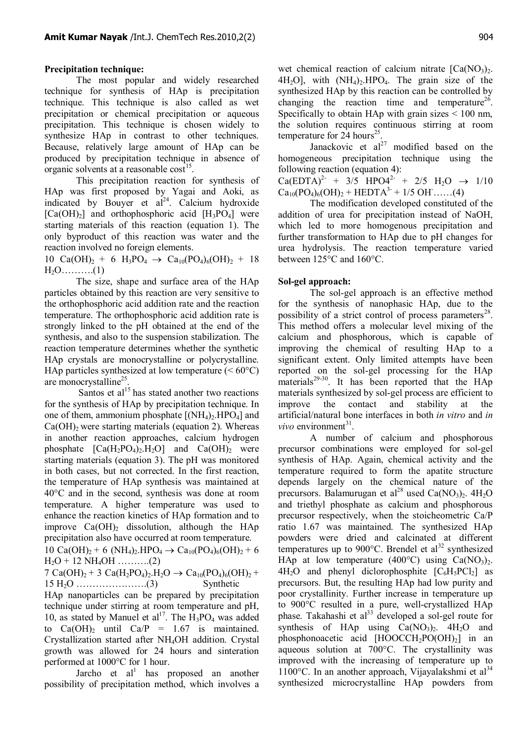## **Precipitation technique:**

The most popular and widely researched technique for synthesis of HAp is precipitation technique. This technique is also called as wet precipitation or chemical precipitation or aqueous precipitation. This technique is chosen widely to synthesize HAp in contrast to other techniques. Because, relatively large amount of HAp can be produced by precipitation technique in absence of organic solvents at a reasonable  $\cos$ <sup>15</sup>.

This precipitation reaction for synthesis of HAp was first proposed by Yagai and Aoki, as indicated by Bouyer et  $al^{24}$ . Calcium hydroxide  $[Ca(OH)<sub>2</sub>]$  and orthophosphoric acid  $[H<sub>3</sub>PO<sub>4</sub>]$  were starting materials of this reaction (equation 1). The only byproduct of this reaction was water and the reaction involved no foreign elements.

10 Ca(OH)<sub>2</sub> + 6 H<sub>3</sub>PO<sub>4</sub>  $\rightarrow$  Ca<sub>10</sub>(PO<sub>4</sub>)<sub>6</sub>(OH)<sub>2</sub> + 18 H2O……….(1)

The size, shape and surface area of the HAp particles obtained by this reaction are very sensitive to the orthophosphoric acid addition rate and the reaction temperature. The orthophosphoric acid addition rate is strongly linked to the pH obtained at the end of the synthesis, and also to the suspension stabilization. The reaction temperature determines whether the synthetic HAp crystals are monocrystalline or polycrystalline. HAp particles synthesized at low temperature  $(< 60^{\circ}C$ ) are monocrystalline<sup>25</sup>.

Santos et al<sup>15</sup> has stated another two reactions for the synthesis of HAp by precipitation technique. In one of them, ammonium phosphate  $[(NH_4)_2, HPO_4]$  and  $Ca(OH)_2$  were starting materials (equation 2). Whereas in another reaction approaches, calcium hydrogen phosphate  $[Ca(H_2PO_4)_2,H_2O]$  and  $Ca(OH)_2$  were starting materials (equation 3). The pH was monitored in both cases, but not corrected. In the first reaction, the temperature of HAp synthesis was maintained at 40°C and in the second, synthesis was done at room temperature. A higher temperature was used to enhance the reaction kinetics of HAp formation and to improve  $Ca(OH)$ , dissolution, although the HAp precipitation also have occurred at room temperature.

 $10 \text{ Ca(OH)}_{2}$  + 6 (NH<sub>4</sub>)<sub>2</sub>.HPO<sub>4</sub>  $\rightarrow$  Ca<sub>10</sub>(PO<sub>4</sub>)<sub>6</sub>(OH)<sub>2</sub> + 6  $H_2O + 12 \text{ NH}_4OH$  ……….(2)

7 Ca(OH)<sub>2</sub> + 3 Ca(H<sub>2</sub>PO<sub>4</sub>)<sub>2</sub>.H<sub>2</sub>O  $\rightarrow$  Ca<sub>10</sub>(PO<sub>4</sub>)<sub>6</sub>(OH)<sub>2</sub> +  $15 H<sub>2</sub>O$  …  $(3)$  Synthetic

HAp nanoparticles can be prepared by precipitation technique under stirring at room temperature and pH, 10, as stated by Manuel et  $al^{17}$ . The  $H_3PO_4$  was added to  $Ca(OH)_2$  until  $Ca/P = 1.67$  is maintained. Crystallization started after NH4OH addition. Crystal growth was allowed for 24 hours and sinteration performed at 1000°C for 1 hour.

Jarcho et  $al<sup>1</sup>$  has proposed an another possibility of precipitation method, which involves a wet chemical reaction of calcium nitrate  $[Ca(NO<sub>3</sub>)<sub>2</sub>$ .  $4H<sub>2</sub>O$ , with  $(NH<sub>4</sub>)<sub>2</sub> HPO<sub>4</sub>$ . The grain size of the synthesized HAp by this reaction can be controlled by changing the reaction time and temperature<sup>26</sup>. Specifically to obtain HAp with grain sizes  $\leq 100$  nm, the solution requires continuous stirring at room temperature for  $2\overline{4}$  hours<sup>25</sup>.

Janackovic et  $al^{27}$  modified based on the homogeneous precipitation technique using the following reaction (equation 4):

 $Ca(EDTA)^{2-} + 3/5 HPO4^{2-} + 2/5 H<sub>2</sub>O \rightarrow 1/10$  $Ca_{10}(PO_4)_{6}(OH)_{2} + HEDTA^{3-} + 1/5 \text{ OH}$ .....(4)

The modification developed constituted of the addition of urea for precipitation instead of NaOH, which led to more homogenous precipitation and further transformation to HAp due to pH changes for urea hydrolysis. The reaction temperature varied between 125°C and 160°C.

## **Sol-gel approach:**

The sol-gel approach is an effective method for the synthesis of nanophasic HAp, due to the possibility of a strict control of process parameters<sup>28</sup>. This method offers a molecular level mixing of the calcium and phosphorous, which is capable of improving the chemical of resulting HAp to a significant extent. Only limited attempts have been reported on the sol-gel processing for the HAp materials<sup>29-30</sup>. It has been reported that the  $HAp$ materials synthesized by sol-gel process are efficient to improve the contact and stability at the artificial/natural bone interfaces in both *in vitro* and *in vivo* environment<sup>31</sup>.

A number of calcium and phosphorous precursor combinations were employed for sol-gel synthesis of HAp. Again, chemical activity and the temperature required to form the apatite structure depends largely on the chemical nature of the precursors. Balamurugan et al<sup>28</sup> used Ca(NO<sub>3</sub>)<sub>2</sub>. 4H<sub>2</sub>O and triethyl phosphate as calcium and phosphorous precursor respectively, when the stoicheometric Ca/P ratio 1.67 was maintained. The synthesized HAp powders were dried and calcinated at different temperatures up to  $900^{\circ}$ C. Brendel et al<sup>32</sup> synthesized HAp at low temperature (400 $^{\circ}$ C) using Ca(NO<sub>3</sub>)<sub>2</sub>.  $4H<sub>2</sub>O$  and phenyl diclorophosphite  $[C<sub>6</sub>H<sub>5</sub>PCl<sub>2</sub>]$  as precursors. But, the resulting HAp had low purity and poor crystallinity. Further increase in temperature up to 900°C resulted in a pure, well-crystallized HAp phase. Takahashi et al<sup>33</sup> developed a sol-gel route for synthesis of HAp using  $Ca(NO<sub>3</sub>)<sub>2</sub>$ . 4H<sub>2</sub>O and phosphonoacetic acid  $[HOOCCH<sub>2</sub>PO(OH)<sub>2</sub>]$  in an aqueous solution at 700°C. The crystallinity was improved with the increasing of temperature up to 1100 $^{\circ}$ C. In an another approach, Vijayalakshmi et al<sup>34</sup> synthesized microcrystalline HAp powders from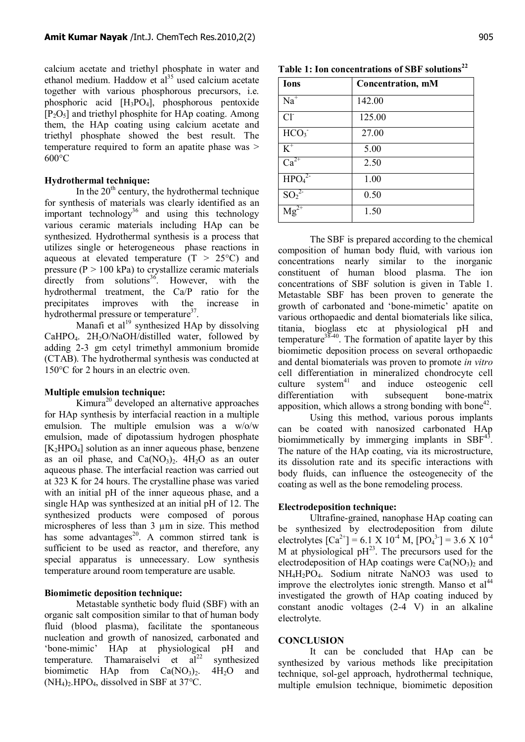calcium acetate and triethyl phosphate in water and ethanol medium. Haddow et  $al<sup>35</sup>$  used calcium acetate together with various phosphorous precursors, i.e. phosphoric acid [H3PO4], phosphorous pentoxide  $[P_2O_5]$  and triethyl phosphite for HAp coating. Among them, the HAp coating using calcium acetate and triethyl phosphate showed the best result. The temperature required to form an apatite phase was > 600°C

#### **Hydrothermal technique:**

In the  $20<sup>th</sup>$  century, the hydrothermal technique for synthesis of materials was clearly identified as an important technology<sup>36</sup> and using this technology various ceramic materials including HAp can be synthesized. Hydrothermal synthesis is a process that utilizes single or heterogeneous phase reactions in aqueous at elevated temperature  $(T > 25^{\circ}C)$  and pressure  $(P > 100 \text{ kPa})$  to crystallize ceramic materials  $directly$  from solutions<sup>36</sup>. However, with the hydrothermal treatment, the Ca/P ratio for the precipitates improves with the increase in hydrothermal pressure or temperature<sup>37</sup>.

Manafi et al<sup>19</sup> synthesized HAp by dissolving CaHPO<sub>4</sub>. 2H<sub>2</sub>O/NaOH/distilled water, followed by adding 2-3 gm cetyl trimethyl ammonium bromide (CTAB). The hydrothermal synthesis was conducted at 150°C for 2 hours in an electric oven.

## **Multiple emulsion technique:**

Kimura<sup>20</sup> developed an alternative approaches for HAp synthesis by interfacial reaction in a multiple emulsion. The multiple emulsion was a w/o/w emulsion, made of dipotassium hydrogen phosphate  $[K<sub>2</sub>HPO<sub>4</sub>]$  solution as an inner aqueous phase, benzene as an oil phase, and  $Ca(NO<sub>3</sub>)<sub>2</sub>$ .  $4H<sub>2</sub>O$  as an outer aqueous phase. The interfacial reaction was carried out at 323 K for 24 hours. The crystalline phase was varied with an initial pH of the inner aqueous phase, and a single HAp was synthesized at an initial pH of 12. The synthesized products were composed of porous microspheres of less than 3  $\mu$ m in size. This method has some advantages<sup>20</sup>. A common stirred tank is sufficient to be used as reactor, and therefore, any special apparatus is unnecessary. Low synthesis temperature around room temperature are usable.

#### **Biomimetic deposition technique:**

Metastable synthetic body fluid (SBF) with an organic salt composition similar to that of human body fluid (blood plasma), facilitate the spontaneous nucleation and growth of nanosized, carbonated and 'bone-mimic' HAp at physiological pH and temperature. Thamaraiselvi et  $al^{22}$  synthesized biomimetic HAp from  $Ca(NO<sub>3</sub>)<sub>2</sub>$ . 4H<sub>2</sub>O and  $(NH_4)$ . HPO<sub>4</sub>, dissolved in SBF at 37<sup>o</sup>C.

**Table 1: Ion concentrations of SBF solutions<sup>22</sup>**

| <b>Ions</b>                   | <b>Concentration, mM</b> |
|-------------------------------|--------------------------|
| $N\overline{a}$ <sup>+</sup>  | 142.00                   |
| Cl <sup>2</sup>               | 125.00                   |
| HCO <sub>3</sub>              | 27.00                    |
| $K^+$                         | 5.00                     |
| $Ca^{2+}$                     | 2.50                     |
| HPO <sub>4</sub> <sup>2</sup> | 1.00                     |
| $SO_2^2$                      | 0.50                     |
| $\overline{Mg^{2+}}$          | 1.50                     |

The SBF is prepared according to the chemical composition of human body fluid, with various ion concentrations nearly similar to the inorganic constituent of human blood plasma. The ion concentrations of SBF solution is given in Table 1. Metastable SBF has been proven to generate the growth of carbonated and 'bone-mimetic' apatite on various orthopaedic and dental biomaterials like silica, titania, bioglass etc at physiological pH and temperature $38-40$ . The formation of apatite layer by this biomimetic deposition process on several orthopaedic and dental biomaterials was proven to promote *in vitro* cell differentiation in mineralized chondrocyte cell culture system $41$  and induce osteogenic cell differentiation with subsequent bone-matrix apposition, which allows a strong bonding with bone $42$ .

Using this method, various porous implants can be coated with nanosized carbonated HAp biomimmetically by immerging implants in  $SBF<sup>43</sup>$ . The nature of the HAp coating, via its microstructure, its dissolution rate and its specific interactions with body fluids, can influence the osteogenecity of the coating as well as the bone remodeling process.

#### **Electrodeposition technique:**

Ultrafine-grained, nanophase HAp coating can be synthesized by electrodeposition from dilute electrolytes  $\text{[Ca}^{2+}\text{]} = 6.1 \times 10^{-4} \text{ M}, \text{[PO}_4^{3-}\text{]} = 3.6 \times 10^{-4}$ M at physiological  $pH^{23}$ . The precursors used for the electrodeposition of HAp coatings were  $Ca(NO<sub>3</sub>)<sub>2</sub>$  and NH4H2PO4. Sodium nitrate NaNO3 was used to improve the electrolytes ionic strength. Manso et  $al<sup>44</sup>$ investigated the growth of HAp coating induced by constant anodic voltages (2-4 V) in an alkaline electrolyte.

#### **CONCLUSION**

It can be concluded that HAp can be synthesized by various methods like precipitation technique, sol-gel approach, hydrothermal technique, multiple emulsion technique, biomimetic deposition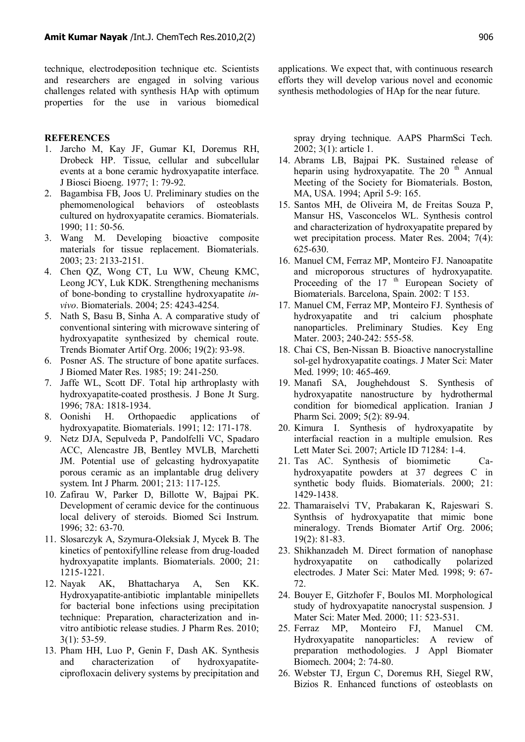technique, electrodeposition technique etc. Scientists and researchers are engaged in solving various challenges related with synthesis HAp with optimum properties for the use in various biomedical

#### **REFERENCES**

- 1. Jarcho M, Kay JF, Gumar KI, Doremus RH, Drobeck HP. Tissue, cellular and subcellular events at a bone ceramic hydroxyapatite interface. J Biosci Bioeng. 1977; 1: 79-92.
- 2. Bagambisa FB, Joos U. Preliminary studies on the phemomenological behaviors of osteoblasts cultured on hydroxyapatite ceramics. Biomaterials. 1990; 11: 50-56.
- 3. Wang M. Developing bioactive composite materials for tissue replacement. Biomaterials. 2003; 23: 2133-2151.
- 4. Chen QZ, Wong CT, Lu WW, Cheung KMC, Leong JCY, Luk KDK. Strengthening mechanisms of bone-bonding to crystalline hydroxyapatite *invivo*. Biomaterials. 2004; 25: 4243-4254.
- 5. Nath S, Basu B, Sinha A. A comparative study of conventional sintering with microwave sintering of hydroxyapatite synthesized by chemical route. Trends Biomater Artif Org. 2006; 19(2): 93-98.
- 6. Posner AS. The structure of bone apatite surfaces. J Biomed Mater Res. 1985; 19: 241-250.
- 7. Jaffe WL, Scott DF. Total hip arthroplasty with hydroxyapatite-coated prosthesis. J Bone Jt Surg. 1996; 78A: 1818-1934.
- 8. Oonishi H. Orthopaedic applications of hydroxyapatite. Biomaterials. 1991; 12: 171-178.
- 9. Netz DJA, Sepulveda P, Pandolfelli VC, Spadaro ACC, Alencastre JB, Bentley MVLB, Marchetti JM. Potential use of gelcasting hydroxyapatite porous ceramic as an implantable drug delivery system. Int J Pharm. 2001; 213: 117-125.
- 10. Zafirau W, Parker D, Billotte W, Bajpai PK. Development of ceramic device for the continuous local delivery of steroids. Biomed Sci Instrum. 1996; 32: 63-70.
- 11. Slosarczyk A, Szymura-Oleksiak J, Mycek B. The kinetics of pentoxifylline release from drug-loaded hydroxyapatite implants. Biomaterials. 2000; 21: 1215-1221.
- 12. Nayak AK, Bhattacharya A, Sen KK. Hydroxyapatite-antibiotic implantable minipellets for bacterial bone infections using precipitation technique: Preparation, characterization and invitro antibiotic release studies. J Pharm Res. 2010; 3(1): 53-59.
- 13. Pham HH, Luo P, Genin F, Dash AK. Synthesis and characterization of hydroxyapatiteciprofloxacin delivery systems by precipitation and

applications. We expect that, with continuous research efforts they will develop various novel and economic synthesis methodologies of HAp for the near future.

spray drying technique. AAPS PharmSci Tech. 2002; 3(1): article 1.

- 14. Abrams LB, Bajpai PK. Sustained release of heparin using hydroxyapatite. The  $20<sup>th</sup>$  Annual Meeting of the Society for Biomaterials. Boston, MA, USA. 1994; April 5-9: 165.
- 15. Santos MH, de Oliveira M, de Freitas Souza P, Mansur HS, Vasconcelos WL. Synthesis control and characterization of hydroxyapatite prepared by wet precipitation process. Mater Res. 2004; 7(4): 625-630.
- 16. Manuel CM, Ferraz MP, Monteiro FJ. Nanoapatite and microporous structures of hydroxyapatite. Proceeding of the 17<sup>th</sup> European Society of Biomaterials. Barcelona, Spain. 2002: T 153.
- 17. Manuel CM, Ferraz MP, Monteiro FJ. Synthesis of hydroxyapatite and tri calcium phosphate nanoparticles. Preliminary Studies. Key Eng Mater. 2003; 240-242: 555-58.
- 18. Chai CS, Ben-Nissan B. Bioactive nanocrystalline sol-gel hydroxyapatite coatings. J Mater Sci: Mater Med. 1999; 10: 465-469.
- 19. Manafi SA, Joughehdoust S. Synthesis of hydroxyapatite nanostructure by hydrothermal condition for biomedical application. Iranian J Pharm Sci. 2009; 5(2): 89-94.
- 20. Kimura I. Synthesis of hydroxyapatite by interfacial reaction in a multiple emulsion. Res Lett Mater Sci. 2007; Article ID 71284: 1-4.
- 21. Tas AC. Synthesis of biomimetic Cahydroxyapatite powders at 37 degrees C in synthetic body fluids. Biomaterials. 2000; 21: 1429-1438.
- 22. Thamaraiselvi TV, Prabakaran K, Rajeswari S. Synthsis of hydroxyapatite that mimic bone mineralogy. Trends Biomater Artif Org. 2006; 19(2): 81-83.
- 23. Shikhanzadeh M. Direct formation of nanophase hydroxyapatite on cathodically polarized electrodes. J Mater Sci: Mater Med. 1998; 9: 67- 72.
- 24. Bouyer E, Gitzhofer F, Boulos MI. Morphological study of hydroxyapatite nanocrystal suspension. J Mater Sci: Mater Med. 2000; 11: 523-531.
- 25. Ferraz MP, Monteiro FJ, Manuel CM. Hydroxyapatite nanoparticles: A review of preparation methodologies. J Appl Biomater Biomech. 2004; 2: 74-80.
- 26. Webster TJ, Ergun C, Doremus RH, Siegel RW, Bizios R. Enhanced functions of osteoblasts on